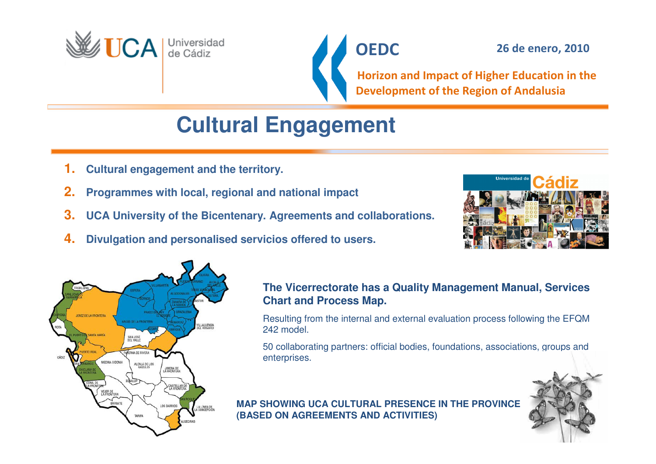



Horizon and Impact of Higher Education in the Development of the Region of Andalusia

# **Cultural Engagement**

- **1.Cultural engagement and the territory.**
- **2.Programmes with local, regional and national impact**
- **3.UCA University of the Bicentenary. Agreements and collaborations.**
- **4.Divulgation and personalised servicios offered to users.**





### **The Vicerrectorate has a Quality Management Manual, Services Chart and Process Map.**

Resulting from the internal and external evaluation process following the EFQM 242 model.

50 collaborating partners: official bodies, foundations, associations, groups andenterprises.

### **MAP SHOWING UCA CULTURAL PRESENCE IN THE PROVINCE (BASED ON AGREEMENTS AND ACTIVITIES)**

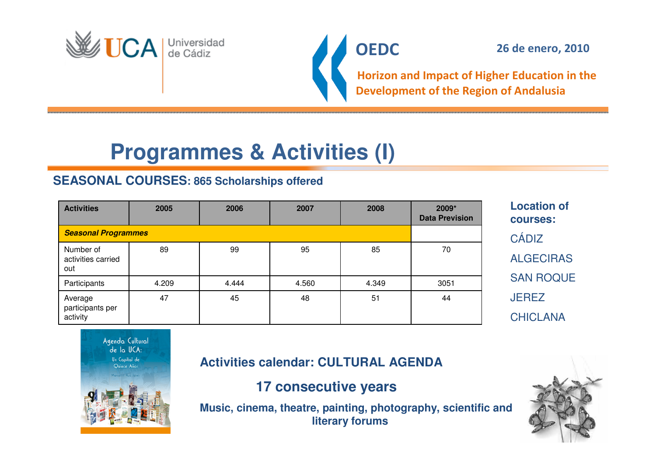



Horizon and Impact of Higher Education in the Development of the Region of Andalusia

# **Programmes & Activities (I)**

### **SEASONAL COURSES: 865 Scholarships offered**

| <b>Activities</b>                       | 2005  | 2006  | 2007  | 2008  | 2009*<br><b>Data Prevision</b> |
|-----------------------------------------|-------|-------|-------|-------|--------------------------------|
| <b>Seasonal Programmes</b>              |       |       |       |       |                                |
| Number of<br>activities carried<br>out  | 89    | 99    | 95    | 85    | 70                             |
| Participants                            | 4.209 | 4.444 | 4.560 | 4.349 | 3051                           |
| Average<br>participants per<br>activity | 47    | 45    | 48    | 51    | 44                             |

**Location ofcourses:CÁDIZ** ALGECIRASSAN ROQUE**JEREZ** CHICLANA



**Activities calendar: CULTURAL AGENDA** 

**17 consecutive years**

**Music, cinema, theatre, painting, photography, scientific andliterary forums**

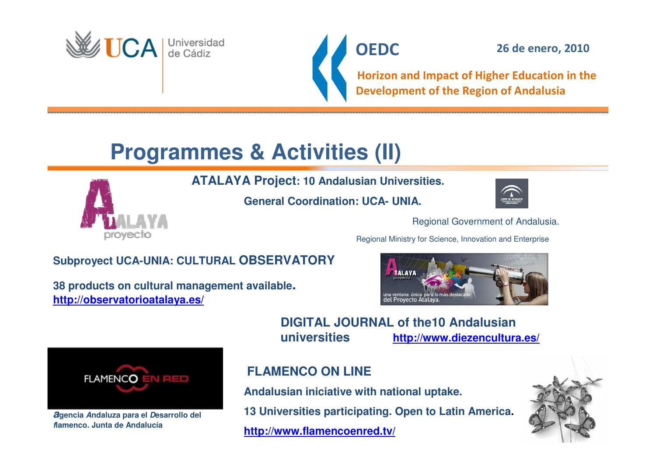



Horizon and Impact of Higher Education in the Development of the Region of Andalusia

# **Programmes & Activities (II)**

**ATALAYA Project: 10 Andalusian Universities.** 

**General Coordination: UCA- UNIA.** 



Regional Government of Andalusia.

Regional Ministry for Science, Innovation and Enterprise

**http://www.diezencultura.es/**

### **Subproyect UCA-UNIA: CULTURAL OBSERVATORY**

**38 products on cultural management available.http://observatorioatalaya.es/**





**agenciaAndaluza para el Desarrollo del flamenco. Junta de Andalucía**

**FLAMENCO ON LINE**

**universities**

**Andalusian iniciative with national uptake.** 

**13 Universities participating. Open to Latin America.** 

**DIGITAL JOURNAL of the10 Andalusian**

**http://www.flamencoenred.tv/**

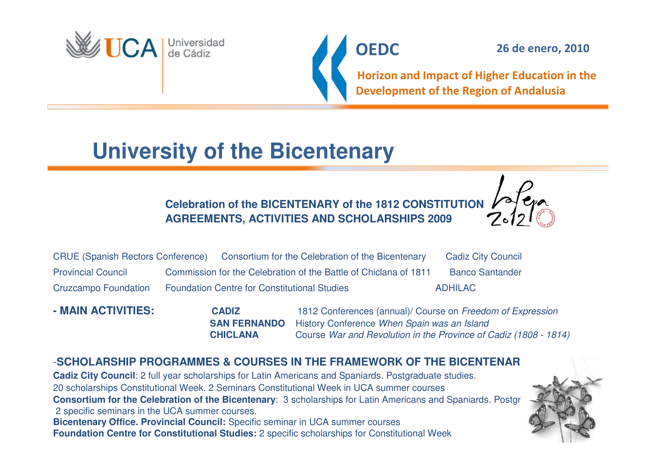

**OEDC** 

26 de enero, 2010

Horizon and Impact of Higher Education in the Development of the Region of Andalusia

# **University of the Bicentenary**

**Celebration of the BICENTENARY of the 1812 CONSTITUTION AGREEMENTS, ACTIVITIES AND SCHOLARSHIPS 2009**



**- MAIN ACTIVITIES: CADIZCADIZ** 1812 Conferences (annual)/ Course on Freedom of Expression **SAN FERNANDO** History Conference When Spain was an Island **CHICLANA** War and Revolution in the Province of Cadiz (1808 - 1814)

### -**SCHOLARSHIP PROGRAMMES & COURSES IN THE FRAMEWORK OF THE BICENTENARY**

**Cadiz City Council:** 2 full year scholarships for Latin Americans and Spaniards. Postgraduate studies. 20 scholarships Constitutional Week. 2 Seminars Constitutional Week in UCA summer courses**Consortium for the Celebration of the Bicentenary:** 3 scholarships for Latin Americans and Spaniards. Postgraduate studies. 2 specific seminars in the UCA summer courses. **Bicentenary Office. Provincial Council:** Specific seminar in UCA summer courses **Foundation Centre for Constitutional Studies:** 2 specific scholarships for Constitutional Week